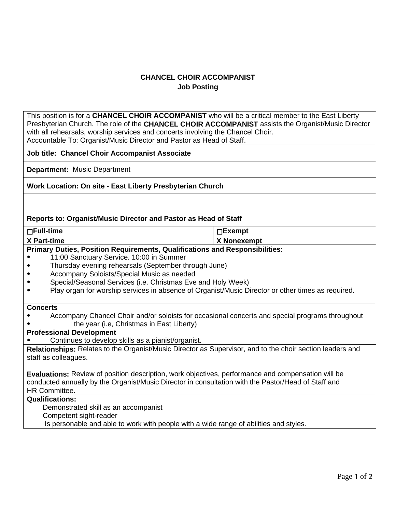## **CHANCEL CHOIR ACCOMPANIST Job Posting**

This position is for a **CHANCEL CHOIR ACCOMPANIST** who will be a critical member to the East Liberty Presbyterian Church. The role of the **CHANCEL CHOIR ACCOMPANIST** assists the Organist/Music Director with all rehearsals, worship services and concerts involving the Chancel Choir. Accountable To: Organist/Music Director and Pastor as Head of Staff.

**Job title: Chancel Choir Accompanist Associate**

**Department:** Music Department

## **Work Location: On site - East Liberty Presbyterian Church**

#### **Reports to: Organist/Music Director and Pastor as Head of Staff**

| $\Box$ Full-time                                                                                                                                  | $\square$ Exempt |
|---------------------------------------------------------------------------------------------------------------------------------------------------|------------------|
| X Part-time                                                                                                                                       | X Nonexempt      |
| $\mathbf{R}$ , and $\mathbf{R}$ , and $\mathbf{R}$ , and $\mathbf{R}$ , and $\mathbf{R}$ , and $\mathbf{R}$ , and $\mathbf{R}$ , and $\mathbf{R}$ |                  |

## **Primary Duties, Position Requirements, Qualifications and Responsibilities:**

- 11:00 Sanctuary Service. 10:00 in Summer
- Thursday evening rehearsals (September through June)
- Accompany Soloists/Special Music as needed
- Special/Seasonal Services (i.e. Christmas Eve and Holy Week)
- Play organ for worship services in absence of Organist/Music Director or other times as required.

#### **Concerts**

- Accompany Chancel Choir and/or soloists for occasional concerts and special programs throughout
- the year (i.e, Christmas in East Liberty)

# **Professional Development**

Continues to develop skills as a pianist/organist.

**Relationships:** Relates to the Organist/Music Director as Supervisor, and to the choir section leaders and staff as colleagues.

**Evaluations:** Review of position description, work objectives, performance and compensation will be conducted annually by the Organist/Music Director in consultation with the Pastor/Head of Staff and HR Committee.

## **Qualifications:**

Demonstrated skill as an accompanist

Competent sight-reader

Is personable and able to work with people with a wide range of abilities and styles.